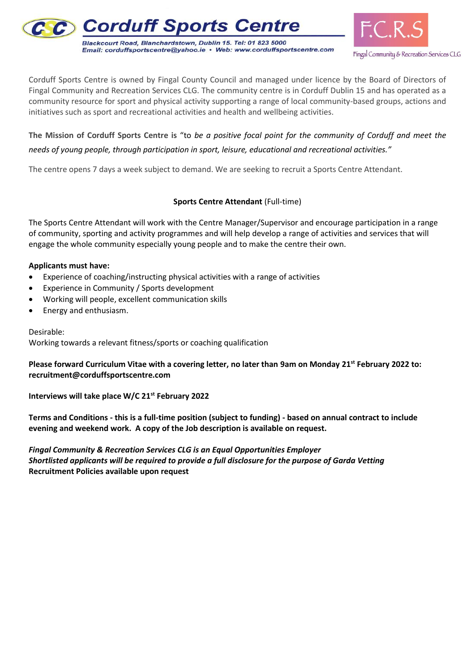



Corduff Sports Centre is owned by Fingal County Council and managed under licence by the Board of Directors of Fingal Community and Recreation Services CLG. The community centre is in Corduff Dublin 15 and has operated as a community resource for sport and physical activity supporting a range of local community-based groups, actions and initiatives such as sport and recreational activities and health and wellbeing activities.

**The Mission of Corduff Sports Centre is** "to *be a positive focal point for the community of Corduff and meet the needs of young people, through participation in sport, leisure, educational and recreational activities."*

The centre opens 7 days a week subject to demand. We are seeking to recruit a Sports Centre Attendant.

# **Sports Centre Attendant** (Full-time)

The Sports Centre Attendant will work with the Centre Manager/Supervisor and encourage participation in a range of community, sporting and activity programmes and will help develop a range of activities and services that will engage the whole community especially young people and to make the centre their own.

#### **Applicants must have:**

- Experience of coaching/instructing physical activities with a range of activities
- Experience in Community / Sports development
- Working will people, excellent communication skills
- Energy and enthusiasm.

Desirable:

Working towards a relevant fitness/sports or coaching qualification

**Please forward Curriculum Vitae with a covering letter, no later than 9am on Monday 21st February 2022 to: recruitment@corduffsportscentre.com**

**Interviews will take place W/C 21st February 2022**

**Terms and Conditions - this is a full-time position (subject to funding) - based on annual contract to include evening and weekend work. A copy of the Job description is available on request.**

*Fingal Community & Recreation Services CLG is an Equal Opportunities Employer Shortlisted applicants will be required to provide a full disclosure for the purpose of Garda Vetting* **Recruitment Policies available upon request**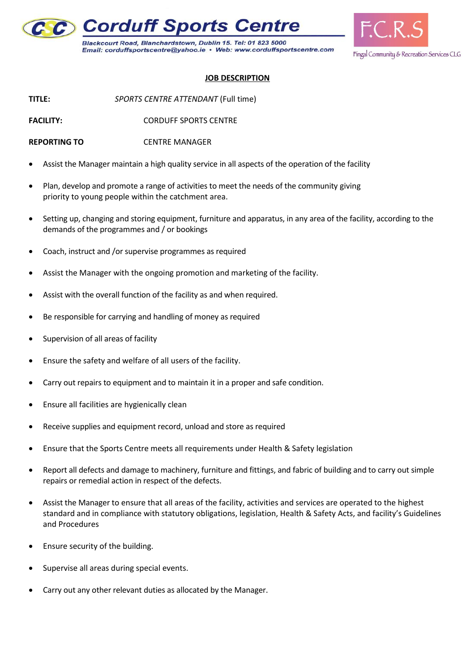

Blackcourt Road, Blanchardstown, Dublin 15. Tel: 01 823 5000 Email: corduffsportscentre@yahoo.ie · Web: www.corduffsportscentre.com



# **JOB DESCRIPTION**

**TITLE:** *SPORTS CENTRE ATTENDANT* (Full time)

**FACILITY:** CORDUFF SPORTS CENTRE

- **REPORTING TO** CENTRE MANAGER
- Assist the Manager maintain a high quality service in all aspects of the operation of the facility
- Plan, develop and promote a range of activities to meet the needs of the community giving priority to young people within the catchment area.
- Setting up, changing and storing equipment, furniture and apparatus, in any area of the facility, according to the demands of the programmes and / or bookings
- Coach, instruct and /or supervise programmes as required
- Assist the Manager with the ongoing promotion and marketing of the facility.
- Assist with the overall function of the facility as and when required.
- Be responsible for carrying and handling of money as required
- Supervision of all areas of facility
- Ensure the safety and welfare of all users of the facility.
- Carry out repairs to equipment and to maintain it in a proper and safe condition.
- Ensure all facilities are hygienically clean
- Receive supplies and equipment record, unload and store as required
- Ensure that the Sports Centre meets all requirements under Health & Safety legislation
- Report all defects and damage to machinery, furniture and fittings, and fabric of building and to carry out simple repairs or remedial action in respect of the defects.
- Assist the Manager to ensure that all areas of the facility, activities and services are operated to the highest standard and in compliance with statutory obligations, legislation, Health & Safety Acts, and facility's Guidelines and Procedures
- Ensure security of the building.
- Supervise all areas during special events.
- Carry out any other relevant duties as allocated by the Manager.